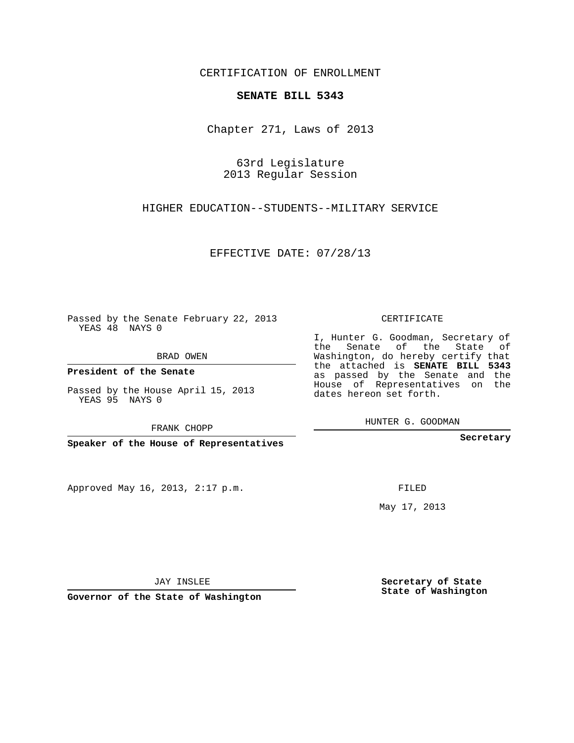## CERTIFICATION OF ENROLLMENT

## **SENATE BILL 5343**

Chapter 271, Laws of 2013

63rd Legislature 2013 Regular Session

HIGHER EDUCATION--STUDENTS--MILITARY SERVICE

EFFECTIVE DATE: 07/28/13

Passed by the Senate February 22, 2013 YEAS 48 NAYS 0

BRAD OWEN

**President of the Senate**

Passed by the House April 15, 2013 YEAS 95 NAYS 0

FRANK CHOPP

**Speaker of the House of Representatives**

Approved May 16, 2013, 2:17 p.m.

CERTIFICATE

I, Hunter G. Goodman, Secretary of the Senate of the State of Washington, do hereby certify that the attached is **SENATE BILL 5343** as passed by the Senate and the House of Representatives on the dates hereon set forth.

HUNTER G. GOODMAN

**Secretary**

FILED

May 17, 2013

**Secretary of State State of Washington**

JAY INSLEE

**Governor of the State of Washington**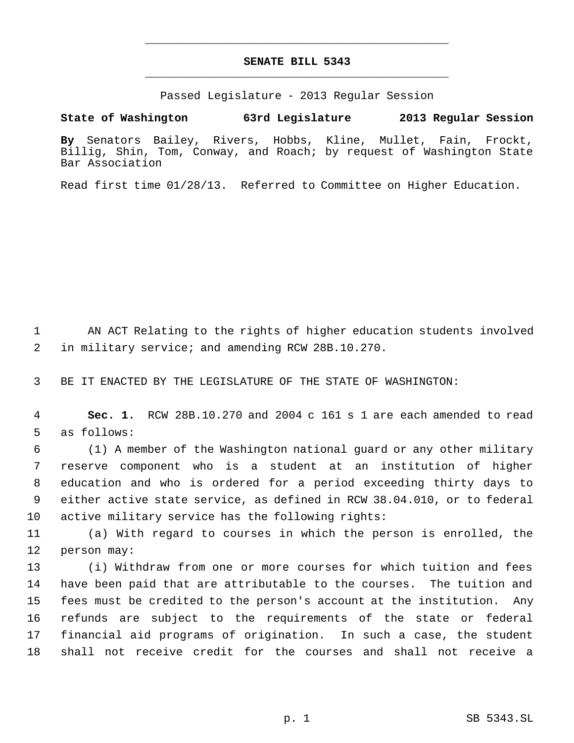## **SENATE BILL 5343** \_\_\_\_\_\_\_\_\_\_\_\_\_\_\_\_\_\_\_\_\_\_\_\_\_\_\_\_\_\_\_\_\_\_\_\_\_\_\_\_\_\_\_\_\_

\_\_\_\_\_\_\_\_\_\_\_\_\_\_\_\_\_\_\_\_\_\_\_\_\_\_\_\_\_\_\_\_\_\_\_\_\_\_\_\_\_\_\_\_\_

Passed Legislature - 2013 Regular Session

**State of Washington 63rd Legislature 2013 Regular Session**

**By** Senators Bailey, Rivers, Hobbs, Kline, Mullet, Fain, Frockt, Billig, Shin, Tom, Conway, and Roach; by request of Washington State Bar Association

Read first time 01/28/13. Referred to Committee on Higher Education.

 AN ACT Relating to the rights of higher education students involved in military service; and amending RCW 28B.10.270.

BE IT ENACTED BY THE LEGISLATURE OF THE STATE OF WASHINGTON:

 **Sec. 1.** RCW 28B.10.270 and 2004 c 161 s 1 are each amended to read as follows:

 (1) A member of the Washington national guard or any other military reserve component who is a student at an institution of higher education and who is ordered for a period exceeding thirty days to either active state service, as defined in RCW 38.04.010, or to federal active military service has the following rights:

 (a) With regard to courses in which the person is enrolled, the person may:

 (i) Withdraw from one or more courses for which tuition and fees have been paid that are attributable to the courses. The tuition and fees must be credited to the person's account at the institution. Any refunds are subject to the requirements of the state or federal financial aid programs of origination. In such a case, the student shall not receive credit for the courses and shall not receive a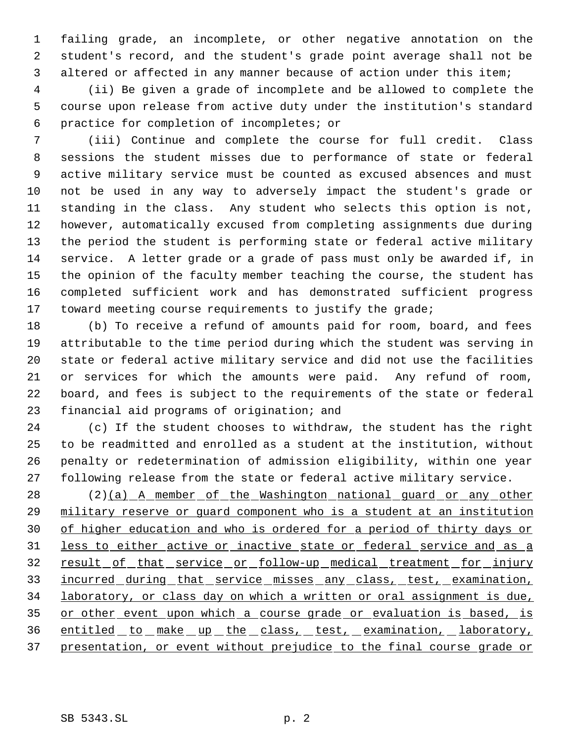failing grade, an incomplete, or other negative annotation on the student's record, and the student's grade point average shall not be altered or affected in any manner because of action under this item;

 (ii) Be given a grade of incomplete and be allowed to complete the course upon release from active duty under the institution's standard practice for completion of incompletes; or

 (iii) Continue and complete the course for full credit. Class sessions the student misses due to performance of state or federal active military service must be counted as excused absences and must not be used in any way to adversely impact the student's grade or standing in the class. Any student who selects this option is not, however, automatically excused from completing assignments due during the period the student is performing state or federal active military service. A letter grade or a grade of pass must only be awarded if, in the opinion of the faculty member teaching the course, the student has completed sufficient work and has demonstrated sufficient progress toward meeting course requirements to justify the grade;

 (b) To receive a refund of amounts paid for room, board, and fees attributable to the time period during which the student was serving in state or federal active military service and did not use the facilities or services for which the amounts were paid. Any refund of room, board, and fees is subject to the requirements of the state or federal financial aid programs of origination; and

 (c) If the student chooses to withdraw, the student has the right to be readmitted and enrolled as a student at the institution, without penalty or redetermination of admission eligibility, within one year following release from the state or federal active military service.

28 (2)(a) A member of the Washington national guard or any other military reserve or guard component who is a student at an institution of higher education and who is ordered for a period of thirty days or less to either active or inactive state or federal service and as a 32 result of that service or follow-up medical treatment for injury incurred during that service misses any class, test, examination, laboratory, or class day on which a written or oral assignment is due, 35 or other event upon which a course grade or evaluation is based, is entitled to make up the class, test, examination, laboratory, presentation, or event without prejudice to the final course grade or